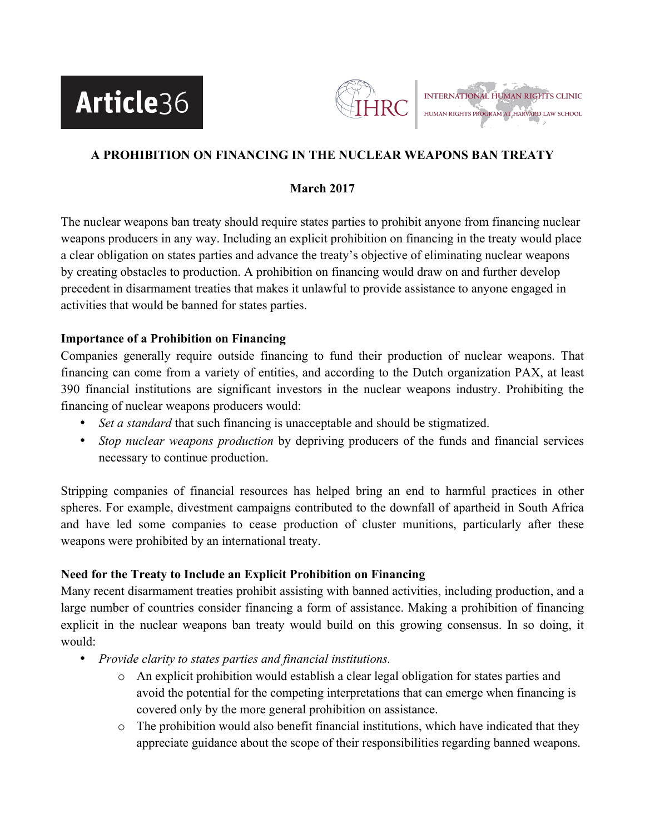



# **A PROHIBITION ON FINANCING IN THE NUCLEAR WEAPONS BAN TREATY**

## **March 2017**

The nuclear weapons ban treaty should require states parties to prohibit anyone from financing nuclear weapons producers in any way. Including an explicit prohibition on financing in the treaty would place a clear obligation on states parties and advance the treaty's objective of eliminating nuclear weapons by creating obstacles to production. A prohibition on financing would draw on and further develop precedent in disarmament treaties that makes it unlawful to provide assistance to anyone engaged in activities that would be banned for states parties.

## **Importance of a Prohibition on Financing**

Companies generally require outside financing to fund their production of nuclear weapons. That financing can come from a variety of entities, and according to the Dutch organization PAX, at least 390 financial institutions are significant investors in the nuclear weapons industry. Prohibiting the financing of nuclear weapons producers would:

- *Set a standard* that such financing is unacceptable and should be stigmatized.
- *Stop nuclear weapons production* by depriving producers of the funds and financial services necessary to continue production.

Stripping companies of financial resources has helped bring an end to harmful practices in other spheres. For example, divestment campaigns contributed to the downfall of apartheid in South Africa and have led some companies to cease production of cluster munitions, particularly after these weapons were prohibited by an international treaty.

## **Need for the Treaty to Include an Explicit Prohibition on Financing**

Many recent disarmament treaties prohibit assisting with banned activities, including production, and a large number of countries consider financing a form of assistance. Making a prohibition of financing explicit in the nuclear weapons ban treaty would build on this growing consensus. In so doing, it would:

- *Provide clarity to states parties and financial institutions.* 
	- o An explicit prohibition would establish a clear legal obligation for states parties and avoid the potential for the competing interpretations that can emerge when financing is covered only by the more general prohibition on assistance.
	- $\circ$  The prohibition would also benefit financial institutions, which have indicated that they appreciate guidance about the scope of their responsibilities regarding banned weapons.